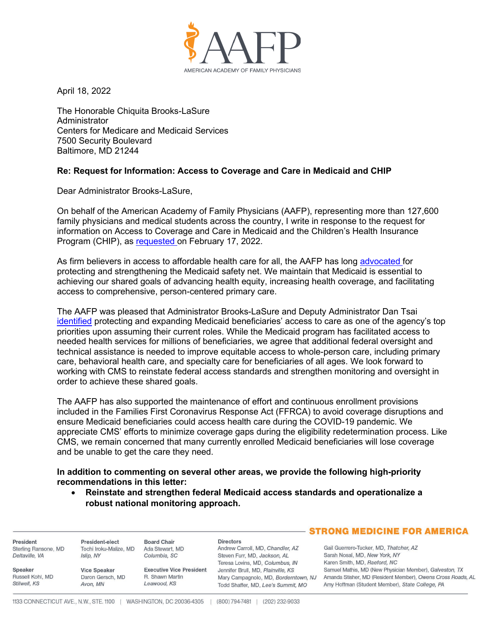

April 18, 2022

The Honorable Chiquita Brooks-LaSure Administrator Centers for Medicare and Medicaid Services 7500 Security Boulevard Baltimore, MD 21244

## **Re: Request for Information: Access to Coverage and Care in Medicaid and CHIP**

Dear Administrator Brooks-LaSure,

On behalf of the American Academy of Family Physicians (AAFP), representing more than 127,600 family physicians and medical students across the country, I write in response to the request for information on Access to Coverage and Care in Medicaid and the Children's Health Insurance Program (CHIP), as [requested](https://www.cms.gov/newsroom/press-releases/biden-harris-administration-announces-request-information-access-care-and-coverage-people-enrolled) on February 17, 2022.

As firm believers in access to affordable health care for all, the AAFP has long [advocated f](https://www.aafp.org/dam/AAFP/documents/advocacy/payment/medicaid/LT-CMS-DirectorDanielTsaiIntro-070721.pdf)or protecting and strengthening the Medicaid safety net. We maintain that Medicaid is essential to achieving our shared goals of advancing health equity, increasing health coverage, and facilitating access to comprehensive, person-centered primary care.

The AAFP was pleased that Administrator Brooks-LaSure and Deputy Administrator Dan Tsai [identified](https://www.healthaffairs.org/do/10.1377/forefront.20211115.537685/full/) protecting and expanding Medicaid beneficiaries' access to care as one of the agency's top priorities upon assuming their current roles. While the Medicaid program has facilitated access to needed health services for millions of beneficiaries, we agree that additional federal oversight and technical assistance is needed to improve equitable access to whole-person care, including primary care, behavioral health care, and specialty care for beneficiaries of all ages. We look forward to working with CMS to reinstate federal access standards and strengthen monitoring and oversight in order to achieve these shared goals.

The AAFP has also supported the maintenance of effort and continuous enrollment provisions included in the Families First Coronavirus Response Act (FFRCA) to avoid coverage disruptions and ensure Medicaid beneficiaries could access health care during the COVID-19 pandemic. We appreciate CMS' efforts to minimize coverage gaps during the eligibility redetermination process. Like CMS, we remain concerned that many currently enrolled Medicaid beneficiaries will lose coverage and be unable to get the care they need.

**In addition to commenting on several other areas, we provide the following high-priority recommendations in this letter:**

• **Reinstate and strengthen federal Medicaid access standards and operationalize a robust national monitoring approach.** 

|                      |                        |                                 |                                                                 | <b>STRONG MEDICINE FOR AMERICA</b>                            |
|----------------------|------------------------|---------------------------------|-----------------------------------------------------------------|---------------------------------------------------------------|
| President            | President-elect        | <b>Board Chair</b>              | <b>Directors</b>                                                | Gail Guerrero-Tucker, MD, Thatcher, AZ                        |
| Sterling Ransone, MD | Tochi Iroku-Malize, MD | Ada Stewart, MD                 | Andrew Carroll, MD, Chandler, AZ                                |                                                               |
| Deltaville, VA       | Islip, NY              | Columbia, SC                    | Steven Furr, MD, Jackson, AL<br>Teresa Lovins, MD, Columbus, IN | Sarah Nosal, MD, New York, NY<br>Karen Smith, MD, Raeford, NC |
| Speaker              | <b>Vice Speaker</b>    | <b>Executive Vice President</b> | Jennifer Brull, MD, Plainville, KS                              | Samuel Mathis, MD (New Physician Member), Galveston, TX       |
| Russell Kohl, MD     | Daron Gersch, MD       | R. Shawn Martin                 | Mary Campagnolo, MD, Borderntown, NJ                            | Amanda Stisher, MD (Resident Member), Owens Cross Roads, AL   |
| Stilwell, KS         | Avon, MN               | Leawood, KS                     | Todd Shaffer, MD, Lee's Summit, MO                              | Amy Hoffman (Student Member), State College, PA               |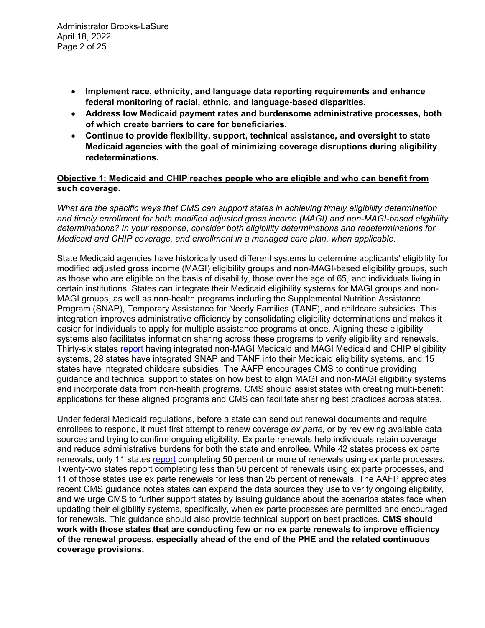- **Implement race, ethnicity, and language data reporting requirements and enhance federal monitoring of racial, ethnic, and language-based disparities.**
- **Address low Medicaid payment rates and burdensome administrative processes, both of which create barriers to care for beneficiaries.**
- **Continue to provide flexibility, support, technical assistance, and oversight to state Medicaid agencies with the goal of minimizing coverage disruptions during eligibility redeterminations.**

# **Objective 1: Medicaid and CHIP reaches people who are eligible and who can benefit from such coverage.**

*What are the specific ways that CMS can support states in achieving timely eligibility determination and timely enrollment for both modified adjusted gross income (MAGI) and non-MAGI-based eligibility determinations? In your response, consider both eligibility determinations and redeterminations for Medicaid and CHIP coverage, and enrollment in a managed care plan, when applicable.*

State Medicaid agencies have historically used different systems to determine applicants' eligibility for modified adjusted gross income (MAGI) eligibility groups and non-MAGI-based eligibility groups, such as those who are eligible on the basis of disability, those over the age of 65, and individuals living in certain institutions. States can integrate their Medicaid eligibility systems for MAGI groups and non-MAGI groups, as well as non-health programs including the Supplemental Nutrition Assistance Program (SNAP), Temporary Assistance for Needy Families (TANF), and childcare subsidies. This integration improves administrative efficiency by consolidating eligibility determinations and makes it easier for individuals to apply for multiple assistance programs at once. Aligning these eligibility systems also facilitates information sharing across these programs to verify eligibility and renewals. Thirty-six states [report](https://www.kff.org/report-section/medicaid-and-chip-eligibility-and-enrollment-policies-as-of-january-2022-findings-from-a-50-state-survey-report/) having integrated non-MAGI Medicaid and MAGI Medicaid and CHIP eligibility systems, 28 states have integrated SNAP and TANF into their Medicaid eligibility systems, and 15 states have integrated childcare subsidies. The AAFP encourages CMS to continue providing guidance and technical support to states on how best to align MAGI and non-MAGI eligibility systems and incorporate data from non-health programs. CMS should assist states with creating multi-benefit applications for these aligned programs and CMS can facilitate sharing best practices across states.

Under federal Medicaid regulations, before a state can send out renewal documents and require enrollees to respond, it must first attempt to renew coverage *ex parte*, or by reviewing available data sources and trying to confirm ongoing eligibility. Ex parte renewals help individuals retain coverage and reduce administrative burdens for both the state and enrollee. While 42 states process ex parte renewals, only 11 states [report](https://www.kff.org/report-section/medicaid-and-chip-eligibility-and-enrollment-policies-as-of-january-2022-findings-from-a-50-state-survey-report/) completing 50 percent or more of renewals using ex parte processes. Twenty-two states report completing less than 50 percent of renewals using ex parte processes, and 11 of those states use ex parte renewals for less than 25 percent of renewals. The AAFP appreciates recent CMS guidance notes states can expand the data sources they use to verify ongoing eligibility, and we urge CMS to further support states by issuing guidance about the scenarios states face when updating their eligibility systems, specifically, when ex parte processes are permitted and encouraged for renewals. This guidance should also provide technical support on best practices. **CMS should work with those states that are conducting few or no ex parte renewals to improve efficiency of the renewal process, especially ahead of the end of the PHE and the related continuous coverage provisions.**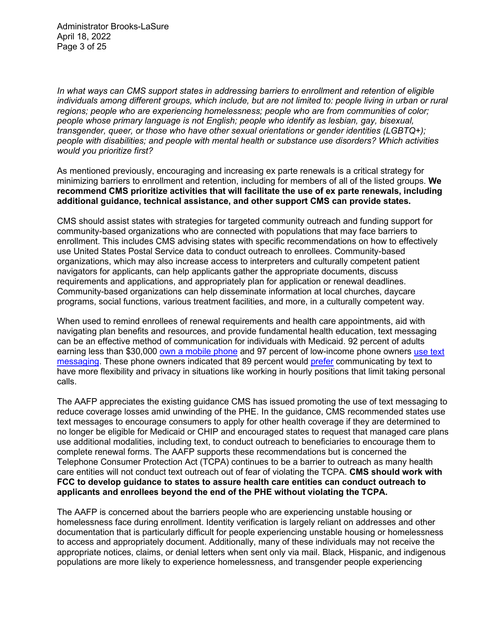Administrator Brooks-LaSure April 18, 2022 Page 3 of 25

*In what ways can CMS support states in addressing barriers to enrollment and retention of eligible individuals among different groups, which include, but are not limited to: people living in urban or rural regions; people who are experiencing homelessness; people who are from communities of color; people whose primary language is not English; people who identify as lesbian, gay, bisexual, transgender, queer, or those who have other sexual orientations or gender identities (LGBTQ+); people with disabilities; and people with mental health or substance use disorders? Which activities would you prioritize first?*

As mentioned previously, encouraging and increasing ex parte renewals is a critical strategy for minimizing barriers to enrollment and retention, including for members of all of the listed groups. **We recommend CMS prioritize activities that will facilitate the use of ex parte renewals, including additional guidance, technical assistance, and other support CMS can provide states.** 

CMS should assist states with strategies for targeted community outreach and funding support for community-based organizations who are connected with populations that may face barriers to enrollment. This includes CMS advising states with specific recommendations on how to effectively use United States Postal Service data to conduct outreach to enrollees. Community-based organizations, which may also increase access to interpreters and culturally competent patient navigators for applicants, can help applicants gather the appropriate documents, discuss requirements and applications, and appropriately plan for application or renewal deadlines. Community-based organizations can help disseminate information at local churches, daycare programs, social functions, various treatment facilities, and more, in a culturally competent way.

When used to remind enrollees of renewal requirements and health care appointments, aid with navigating plan benefits and resources, and provide fundamental health education, text messaging can be an effective method of communication for individuals with Medicaid. 92 percent of adults earning less than \$30,000 [own a mobile phone](https://www.fiercehealthcare.com/payer/industry-voices-3-member-engagement-pitfalls-health-plans-should-avoid) and 97 percent of low-income phone owners [use text](https://www.pewresearch.org/internet/2015/04/01/us-smartphone-use-in-2015/)  [messaging.](https://www.pewresearch.org/internet/2015/04/01/us-smartphone-use-in-2015/) These phone owners indicated that 89 percent would [prefer](https://www.twilio.com/press/releases/twilio-study-finds-that-9-out-of-10-consumers-globally-want-to-message-with-brands) communicating by text to have more flexibility and privacy in situations like working in hourly positions that limit taking personal calls.

The AAFP appreciates the existing guidance CMS has issued promoting the use of text messaging to reduce coverage losses amid unwinding of the PHE. In the guidance, CMS recommended states use text messages to encourage consumers to apply for other health coverage if they are determined to no longer be eligible for Medicaid or CHIP and encouraged states to request that managed care plans use additional modalities, including text, to conduct outreach to beneficiaries to encourage them to complete renewal forms. The AAFP supports these recommendations but is concerned the Telephone Consumer Protection Act (TCPA) continues to be a barrier to outreach as many health care entities will not conduct text outreach out of fear of violating the TCPA. **CMS should work with FCC to develop guidance to states to assure health care entities can conduct outreach to applicants and enrollees beyond the end of the PHE without violating the TCPA.**

The AAFP is concerned about the barriers people who are experiencing unstable housing or homelessness face during enrollment. Identity verification is largely reliant on addresses and other documentation that is particularly difficult for people experiencing unstable housing or homelessness to access and appropriately document. Additionally, many of these individuals may not receive the appropriate notices, claims, or denial letters when sent only via mail. Black, Hispanic, and indigenous populations are more likely to experience homelessness, and transgender people experiencing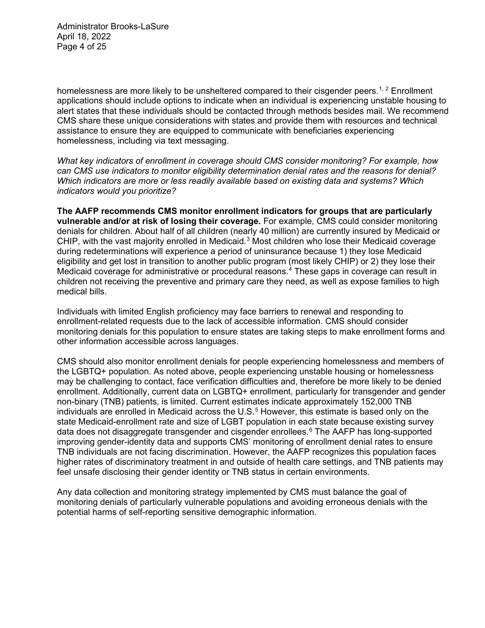Administrator Brooks-LaSure April 18, 2022 Page 4 of 25

homelessness are more likely to be unsheltered compared to their cisgender peers.<sup>[1](#page-23-0), [2](#page-23-1)</sup> Enrollment applications should include options to indicate when an individual is experiencing unstable housing to alert states that these individuals should be contacted through methods besides mail. We recommend CMS share these unique considerations with states and provide them with resources and technical assistance to ensure they are equipped to communicate with beneficiaries experiencing homelessness, including via text messaging.

*What key indicators of enrollment in coverage should CMS consider monitoring? For example, how can CMS use indicators to monitor eligibility determination denial rates and the reasons for denial? Which indicators are more or less readily available based on existing data and systems? Which indicators would you prioritize?*

**The AAFP recommends CMS monitor enrollment indicators for groups that are particularly vulnerable and/or at risk of losing their coverage.** For example, CMS could consider monitoring denials for children. About half of all children (nearly 40 million) are currently insured by Medicaid or CHIP, with the vast majority enrolled in Medicaid.[3](#page-23-2) Most children who lose their Medicaid coverage during redeterminations will experience a period of uninsurance because 1) they lose Medicaid eligibility and get lost in transition to another public program (most likely CHIP) or 2) they lose their Medicaid coverage for administrative or procedural reasons.<sup>[4](#page-23-3)</sup> These gaps in coverage can result in children not receiving the preventive and primary care they need, as well as expose families to high medical bills.

Individuals with limited English proficiency may face barriers to renewal and responding to enrollment-related requests due to the lack of accessible information. CMS should consider monitoring denials for this population to ensure states are taking steps to make enrollment forms and other information accessible across languages.

CMS should also monitor enrollment denials for people experiencing homelessness and members of the LGBTQ+ population. As noted above, people experiencing unstable housing or homelessness may be challenging to contact, face verification difficulties and, therefore be more likely to be denied enrollment. Additionally, current data on LGBTQ+ enrollment, particularly for transgender and gender non-binary (TNB) patients, is limited. Current estimates indicate approximately 152,000 TNB individuals are enrolled in Medicaid across the  $U.S.^5$  $U.S.^5$  However, this estimate is based only on the state Medicaid-enrollment rate and size of LGBT population in each state because existing survey data does not disaggregate transgender and cisgender enrollees.<sup>[6](#page-23-5)</sup> The AAFP has long-supported improving gender-identity data and supports CMS' monitoring of enrollment denial rates to ensure TNB individuals are not facing discrimination. However, the AAFP recognizes this population faces higher rates of discriminatory treatment in and outside of health care settings, and TNB patients may feel unsafe disclosing their gender identity or TNB status in certain environments.

Any data collection and monitoring strategy implemented by CMS must balance the goal of monitoring denials of particularly vulnerable populations and avoiding erroneous denials with the potential harms of self-reporting sensitive demographic information.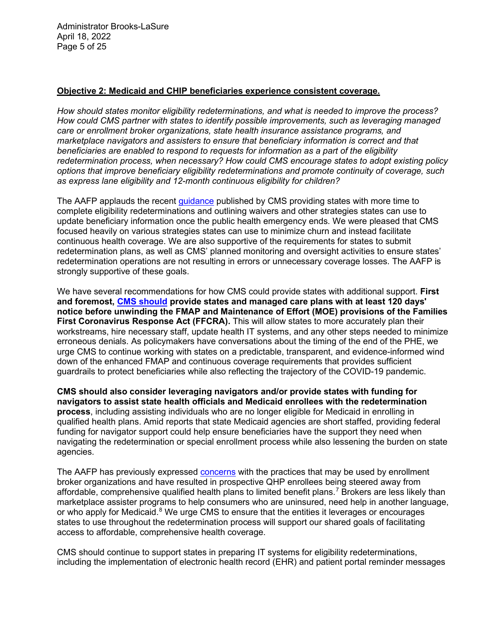Administrator Brooks-LaSure April 18, 2022 Page 5 of 25

### **Objective 2: Medicaid and CHIP beneficiaries experience consistent coverage.**

*How should states monitor eligibility redeterminations, and what is needed to improve the process? How could CMS partner with states to identify possible improvements, such as leveraging managed care or enrollment broker organizations, state health insurance assistance programs, and marketplace navigators and assisters to ensure that beneficiary information is correct and that beneficiaries are enabled to respond to requests for information as a part of the eligibility redetermination process, when necessary? How could CMS encourage states to adopt existing policy options that improve beneficiary eligibility redeterminations and promote continuity of coverage, such as express lane eligibility and 12-month continuous eligibility for children?*

The AAFP applauds the recent quidance published by CMS providing states with more time to complete eligibility redeterminations and outlining waivers and other strategies states can use to update beneficiary information once the public health emergency ends. We were pleased that CMS focused heavily on various strategies states can use to minimize churn and instead facilitate continuous health coverage. We are also supportive of the requirements for states to submit redetermination plans, as well as CMS' planned monitoring and oversight activities to ensure states' redetermination operations are not resulting in errors or unnecessary coverage losses. The AAFP is strongly supportive of these goals.

We have several recommendations for how CMS could provide states with additional support. **First and foremost, [CMS should](https://www.aafp.org/dam/AAFP/documents/advocacy/coverage/medicaid/LT-P4M-CMS-MedicaidProtectionsAfterCOVID-040122.pdf) provide states and managed care plans with at least 120 days' notice before unwinding the FMAP and Maintenance of Effort (MOE) provisions of the Families First Coronavirus Response Act (FFCRA).** This will allow states to more accurately plan their workstreams, hire necessary staff, update health IT systems, and any other steps needed to minimize erroneous denials. As policymakers have conversations about the timing of the end of the PHE, we urge CMS to continue working with states on a predictable, transparent, and evidence-informed wind down of the enhanced FMAP and continuous coverage requirements that provides sufficient guardrails to protect beneficiaries while also reflecting the trajectory of the COVID-19 pandemic.

**CMS should also consider leveraging navigators and/or provide states with funding for navigators to assist state health officials and Medicaid enrollees with the redetermination process**, including assisting individuals who are no longer eligible for Medicaid in enrolling in qualified health plans. Amid reports that state Medicaid agencies are short staffed, providing federal funding for navigator support could help ensure beneficiaries have the support they need when navigating the redetermination or special enrollment process while also lessening the burden on state agencies.

The AAFP has previously expressed [concerns](https://medialib.aafp.org/content/dam/AAFP/documents/advocacy/coverage/aca/LT-HHS-Comments2022NBPP-122320.pdf) with the practices that may be used by enrollment broker organizations and have resulted in prospective QHP enrollees being steered away from affordable, comprehensive qualified health plans to limited benefit plans.<sup>[7](#page-23-6)</sup> Brokers are less likely than marketplace assister programs to help consumers who are uninsured, need help in another language, or who apply for Medicaid. $8$  We urge CMS to ensure that the entities it leverages or encourages states to use throughout the redetermination process will support our shared goals of facilitating access to affordable, comprehensive health coverage.

CMS should continue to support states in preparing IT systems for eligibility redeterminations, including the implementation of electronic health record (EHR) and patient portal reminder messages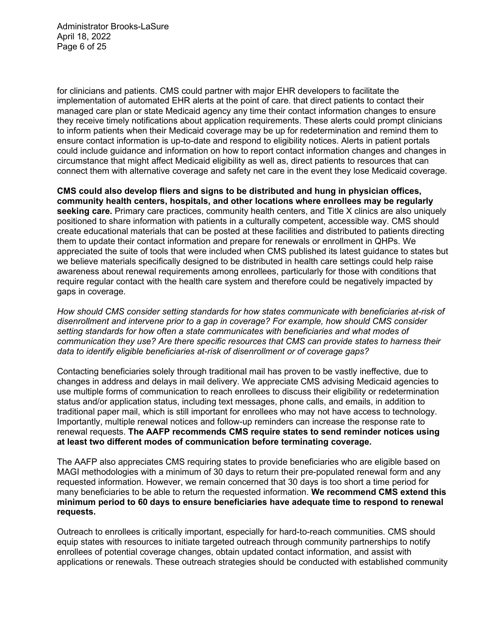Administrator Brooks-LaSure April 18, 2022 Page 6 of 25

for clinicians and patients. CMS could partner with major EHR developers to facilitate the implementation of automated EHR alerts at the point of care. that direct patients to contact their managed care plan or state Medicaid agency any time their contact information changes to ensure they receive timely notifications about application requirements. These alerts could prompt clinicians to inform patients when their Medicaid coverage may be up for redetermination and remind them to ensure contact information is up-to-date and respond to eligibility notices. Alerts in patient portals could include guidance and information on how to report contact information changes and changes in circumstance that might affect Medicaid eligibility as well as, direct patients to resources that can connect them with alternative coverage and safety net care in the event they lose Medicaid coverage.

**CMS could also develop fliers and signs to be distributed and hung in physician offices, community health centers, hospitals, and other locations where enrollees may be regularly seeking care.** Primary care practices, community health centers, and Title X clinics are also uniquely positioned to share information with patients in a culturally competent, accessible way. CMS should create educational materials that can be posted at these facilities and distributed to patients directing them to update their contact information and prepare for renewals or enrollment in QHPs. We appreciated the suite of tools that were included when CMS published its latest guidance to states but we believe materials specifically designed to be distributed in health care settings could help raise awareness about renewal requirements among enrollees, particularly for those with conditions that require regular contact with the health care system and therefore could be negatively impacted by gaps in coverage.

*How should CMS consider setting standards for how states communicate with beneficiaries at-risk of disenrollment and intervene prior to a gap in coverage? For example, how should CMS consider setting standards for how often a state communicates with beneficiaries and what modes of communication they use? Are there specific resources that CMS can provide states to harness their data to identify eligible beneficiaries at-risk of disenrollment or of coverage gaps?*

Contacting beneficiaries solely through traditional mail has proven to be vastly ineffective, due to changes in address and delays in mail delivery. We appreciate CMS advising Medicaid agencies to use multiple forms of communication to reach enrollees to discuss their eligibility or redetermination status and/or application status, including text messages, phone calls, and emails, in addition to traditional paper mail, which is still important for enrollees who may not have access to technology. Importantly, multiple renewal notices and follow-up reminders can increase the response rate to renewal requests. **The AAFP recommends CMS require states to send reminder notices using at least two different modes of communication before terminating coverage.**

The AAFP also appreciates CMS requiring states to provide beneficiaries who are eligible based on MAGI methodologies with a minimum of 30 days to return their pre-populated renewal form and any requested information. However, we remain concerned that 30 days is too short a time period for many beneficiaries to be able to return the requested information. **We recommend CMS extend this minimum period to 60 days to ensure beneficiaries have adequate time to respond to renewal requests.** 

Outreach to enrollees is critically important, especially for hard-to-reach communities. CMS should equip states with resources to initiate targeted outreach through community partnerships to notify enrollees of potential coverage changes, obtain updated contact information, and assist with applications or renewals. These outreach strategies should be conducted with established community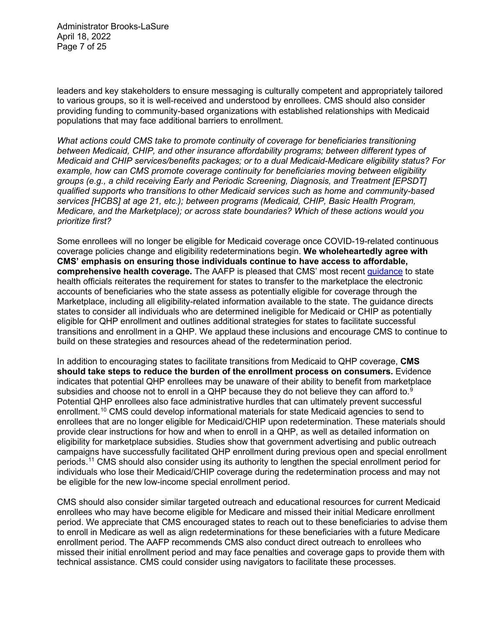Administrator Brooks-LaSure April 18, 2022 Page 7 of 25

leaders and key stakeholders to ensure messaging is culturally competent and appropriately tailored to various groups, so it is well-received and understood by enrollees. CMS should also consider providing funding to community-based organizations with established relationships with Medicaid populations that may face additional barriers to enrollment.

*What actions could CMS take to promote continuity of coverage for beneficiaries transitioning between Medicaid, CHIP, and other insurance affordability programs; between different types of Medicaid and CHIP services/benefits packages; or to a dual Medicaid-Medicare eligibility status? For example, how can CMS promote coverage continuity for beneficiaries moving between eligibility groups (e.g., a child receiving Early and Periodic Screening, Diagnosis, and Treatment [EPSDT] qualified supports who transitions to other Medicaid services such as home and community-based services [HCBS] at age 21, etc.); between programs (Medicaid, CHIP, Basic Health Program, Medicare, and the Marketplace); or across state boundaries? Which of these actions would you prioritize first?*

Some enrollees will no longer be eligible for Medicaid coverage once COVID-19-related continuous coverage policies change and eligibility redeterminations begin. **We wholeheartedly agree with CMS' emphasis on ensuring those individuals continue to have access to affordable, comprehensive health coverage.** The AAFP is pleased that CMS' most recent [guidance](https://www.medicaid.gov/federal-policy-guidance/downloads/sho22001.pdf) to state health officials reiterates the requirement for states to transfer to the marketplace the electronic accounts of beneficiaries who the state assess as potentially eligible for coverage through the Marketplace, including all eligibility-related information available to the state. The guidance directs states to consider all individuals who are determined ineligible for Medicaid or CHIP as potentially eligible for QHP enrollment and outlines additional strategies for states to facilitate successful transitions and enrollment in a QHP. We applaud these inclusions and encourage CMS to continue to build on these strategies and resources ahead of the redetermination period.

In addition to encouraging states to facilitate transitions from Medicaid to QHP coverage, **CMS should take steps to reduce the burden of the enrollment process on consumers.** Evidence indicates that potential QHP enrollees may be unaware of their ability to benefit from marketplace subsidies and choose not to enroll in a QHP because they do not believe they can afford to. $9$ Potential QHP enrollees also face administrative hurdles that can ultimately prevent successful enrollment.<sup>[10](#page-23-9)</sup> CMS could develop informational materials for state Medicaid agencies to send to enrollees that are no longer eligible for Medicaid/CHIP upon redetermination. These materials should provide clear instructions for how and when to enroll in a QHP, as well as detailed information on eligibility for marketplace subsidies. Studies show that government advertising and public outreach campaigns have successfully facilitated QHP enrollment during previous open and special enrollment periods.[11](#page-23-10) CMS should also consider using its authority to lengthen the special enrollment period for individuals who lose their Medicaid/CHIP coverage during the redetermination process and may not be eligible for the new low-income special enrollment period.

CMS should also consider similar targeted outreach and educational resources for current Medicaid enrollees who may have become eligible for Medicare and missed their initial Medicare enrollment period. We appreciate that CMS encouraged states to reach out to these beneficiaries to advise them to enroll in Medicare as well as align redeterminations for these beneficiaries with a future Medicare enrollment period. The AAFP recommends CMS also conduct direct outreach to enrollees who missed their initial enrollment period and may face penalties and coverage gaps to provide them with technical assistance. CMS could consider using navigators to facilitate these processes.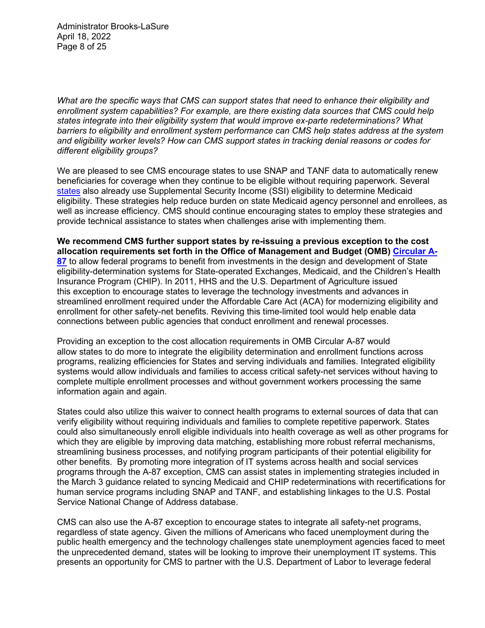Administrator Brooks-LaSure April 18, 2022 Page 8 of 25

*What are the specific ways that CMS can support states that need to enhance their eligibility and enrollment system capabilities? For example, are there existing data sources that CMS could help states integrate into their eligibility system that would improve ex-parte redeterminations? What barriers to eligibility and enrollment system performance can CMS help states address at the system and eligibility worker levels? How can CMS support states in tracking denial reasons or codes for different eligibility groups?*

We are pleased to see CMS encourage states to use SNAP and TANF data to automatically renew beneficiaries for coverage when they continue to be eligible without requiring paperwork. Several [states](https://secure.ssa.gov/poms.nsf/lnx/0501715020) also already use Supplemental Security Income (SSI) eligibility to determine Medicaid eligibility. These strategies help reduce burden on state Medicaid agency personnel and enrollees, as well as increase efficiency. CMS should continue encouraging states to employ these strategies and provide technical assistance to states when challenges arise with implementing them.

**We recommend CMS further support states by re-issuing a previous exception to the cost allocation requirements set forth in the Office of Management and Budget (OMB) [Circular A-](https://obamawhitehouse.archives.gov/omb/circulars_a087_2004)[87](https://obamawhitehouse.archives.gov/omb/circulars_a087_2004)** to allow federal programs to benefit from investments in the design and development of State eligibility-determination systems for State-operated Exchanges, Medicaid, and the Children's Health Insurance Program (CHIP). In 2011, HHS and the U.S. Department of Agriculture issued this exception to encourage states to leverage the technology investments and advances in streamlined enrollment required under the Affordable Care Act (ACA) for modernizing eligibility and enrollment for other safety-net benefits. Reviving this time-limited tool would help enable data connections between public agencies that conduct enrollment and renewal processes.

Providing an exception to the cost allocation requirements in OMB Circular A-87 would allow states to do more to integrate the eligibility determination and enrollment functions across programs, realizing efficiencies for States and serving individuals and families. Integrated eligibility systems would allow individuals and families to access critical safety-net services without having to complete multiple enrollment processes and without government workers processing the same information again and again.

States could also utilize this waiver to connect health programs to external sources of data that can verify eligibility without requiring individuals and families to complete repetitive paperwork. States could also simultaneously enroll eligible individuals into health coverage as well as other programs for which they are eligible by improving data matching, establishing more robust referral mechanisms, streamlining business processes, and notifying program participants of their potential eligibility for other benefits. By promoting more integration of IT systems across health and social services programs through the A-87 exception, CMS can assist states in implementing strategies included in the March 3 guidance related to syncing Medicaid and CHIP redeterminations with recertifications for human service programs including SNAP and TANF, and establishing linkages to the U.S. Postal Service National Change of Address database.

CMS can also use the A-87 exception to encourage states to integrate all safety-net programs, regardless of state agency. Given the millions of Americans who faced unemployment during the public health emergency and the technology challenges state unemployment agencies faced to meet the unprecedented demand, states will be looking to improve their unemployment IT systems. This presents an opportunity for CMS to partner with the U.S. Department of Labor to leverage federal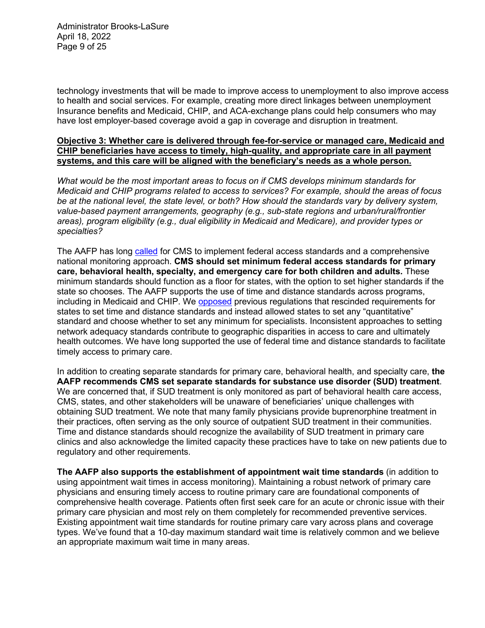Administrator Brooks-LaSure April 18, 2022 Page 9 of 25

technology investments that will be made to improve access to unemployment to also improve access to health and social services. For example, creating more direct linkages between unemployment Insurance benefits and Medicaid, CHIP, and ACA-exchange plans could help consumers who may have lost employer-based coverage avoid a gap in coverage and disruption in treatment.

### **Objective 3: Whether care is delivered through fee-for-service or managed care, Medicaid and CHIP beneficiaries have access to timely, high-quality, and appropriate care in all payment systems, and this care will be aligned with the beneficiary's needs as a whole person.**

*What would be the most important areas to focus on if CMS develops minimum standards for Medicaid and CHIP programs related to access to services? For example, should the areas of focus be at the national level, the state level, or both? How should the standards vary by delivery system, value-based payment arrangements, geography (e.g., sub-state regions and urban/rural/frontier areas), program eligibility (e.g., dual eligibility in Medicaid and Medicare), and provider types or specialties?*

The AAFP has long [called](https://www.aafp.org/dam/AAFP/documents/advocacy/coverage/medicaid/LT-HHS-Medicaid-Access-12242015.pdf) for CMS to implement federal access standards and a comprehensive national monitoring approach. **CMS should set minimum federal access standards for primary care, behavioral health, specialty, and emergency care for both children and adults.** These minimum standards should function as a floor for states, with the option to set higher standards if the state so chooses. The AAFP supports the use of time and distance standards across programs, including in Medicaid and CHIP. We [opposed](https://www.aafp.org/dam/AAFP/documents/advocacy/coverage/medicaid/LT-CMS-MedicaidCHIPManagedCare-011419.pdf) previous regulations that rescinded requirements for states to set time and distance standards and instead allowed states to set any "quantitative" standard and choose whether to set any minimum for specialists. Inconsistent approaches to setting network adequacy standards contribute to geographic disparities in access to care and ultimately health outcomes. We have long supported the use of federal time and distance standards to facilitate timely access to primary care.

In addition to creating separate standards for primary care, behavioral health, and specialty care, **the AAFP recommends CMS set separate standards for substance use disorder (SUD) treatment**. We are concerned that, if SUD treatment is only monitored as part of behavioral health care access, CMS, states, and other stakeholders will be unaware of beneficiaries' unique challenges with obtaining SUD treatment. We note that many family physicians provide buprenorphine treatment in their practices, often serving as the only source of outpatient SUD treatment in their communities. Time and distance standards should recognize the availability of SUD treatment in primary care clinics and also acknowledge the limited capacity these practices have to take on new patients due to regulatory and other requirements.

**The AAFP also supports the establishment of appointment wait time standards** (in addition to using appointment wait times in access monitoring). Maintaining a robust network of primary care physicians and ensuring timely access to routine primary care are foundational components of comprehensive health coverage. Patients often first seek care for an acute or chronic issue with their primary care physician and most rely on them completely for recommended preventive services. Existing appointment wait time standards for routine primary care vary across plans and coverage types. We've found that a 10-day maximum standard wait time is relatively common and we believe an appropriate maximum wait time in many areas.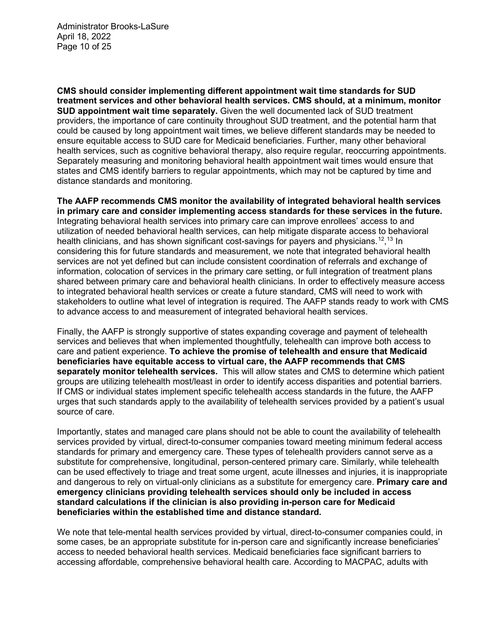Administrator Brooks-LaSure April 18, 2022 Page 10 of 25

**CMS should consider implementing different appointment wait time standards for SUD treatment services and other behavioral health services. CMS should, at a minimum, monitor SUD appointment wait time separately.** Given the well documented lack of SUD treatment providers, the importance of care continuity throughout SUD treatment, and the potential harm that could be caused by long appointment wait times, we believe different standards may be needed to ensure equitable access to SUD care for Medicaid beneficiaries. Further, many other behavioral health services, such as cognitive behavioral therapy, also require regular, reoccurring appointments. Separately measuring and monitoring behavioral health appointment wait times would ensure that states and CMS identify barriers to regular appointments, which may not be captured by time and distance standards and monitoring.

**The AAFP recommends CMS monitor the availability of integrated behavioral health services in primary care and consider implementing access standards for these services in the future.** Integrating behavioral health services into primary care can improve enrollees' access to and utilization of needed behavioral health services, can help mitigate disparate access to behavioral health clinicians, and has shown significant cost-savings for payers and physicians.<sup>[12](#page-23-11)</sup>,<sup>[13](#page-23-12)</sup> In considering this for future standards and measurement, we note that integrated behavioral health services are not yet defined but can include consistent coordination of referrals and exchange of information, colocation of services in the primary care setting, or full integration of treatment plans shared between primary care and behavioral health clinicians. In order to effectively measure access to integrated behavioral health services or create a future standard, CMS will need to work with stakeholders to outline what level of integration is required. The AAFP stands ready to work with CMS to advance access to and measurement of integrated behavioral health services.

Finally, the AAFP is strongly supportive of states expanding coverage and payment of telehealth services and believes that when implemented thoughtfully, telehealth can improve both access to care and patient experience. **To achieve the promise of telehealth and ensure that Medicaid beneficiaries have equitable access to virtual care, the AAFP recommends that CMS separately monitor telehealth services.** This will allow states and CMS to determine which patient groups are utilizing telehealth most/least in order to identify access disparities and potential barriers. If CMS or individual states implement specific telehealth access standards in the future, the AAFP urges that such standards apply to the availability of telehealth services provided by a patient's usual source of care.

Importantly, states and managed care plans should not be able to count the availability of telehealth services provided by virtual, direct-to-consumer companies toward meeting minimum federal access standards for primary and emergency care. These types of telehealth providers cannot serve as a substitute for comprehensive, longitudinal, person-centered primary care. Similarly, while telehealth can be used effectively to triage and treat some urgent, acute illnesses and injuries, it is inappropriate and dangerous to rely on virtual-only clinicians as a substitute for emergency care. **Primary care and emergency clinicians providing telehealth services should only be included in access standard calculations if the clinician is also providing in-person care for Medicaid beneficiaries within the established time and distance standard.**

We note that tele-mental health services provided by virtual, direct-to-consumer companies could, in some cases, be an appropriate substitute for in-person care and significantly increase beneficiaries' access to needed behavioral health services. Medicaid beneficiaries face significant barriers to accessing affordable, comprehensive behavioral health care. According to MACPAC, adults with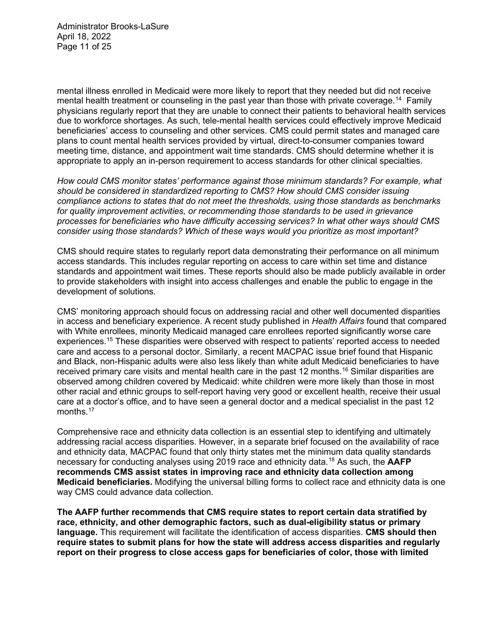Administrator Brooks-LaSure April 18, 2022 Page 11 of 25

mental illness enrolled in Medicaid were more likely to report that they needed but did not receive mental health treatment or counseling in the past year than those with private coverage.<sup>[14](#page-23-13)</sup> Family physicians regularly report that they are unable to connect their patients to behavioral health services due to workforce shortages. As such, tele-mental health services could effectively improve Medicaid beneficiaries' access to counseling and other services. CMS could permit states and managed care plans to count mental health services provided by virtual, direct-to-consumer companies toward meeting time, distance, and appointment wait time standards. CMS should determine whether it is appropriate to apply an in-person requirement to access standards for other clinical specialties.

*How could CMS monitor states' performance against those minimum standards? For example, what should be considered in standardized reporting to CMS? How should CMS consider issuing compliance actions to states that do not meet the thresholds, using those standards as benchmarks for quality improvement activities, or recommending those standards to be used in grievance processes for beneficiaries who have difficulty accessing services? In what other ways should CMS consider using those standards? Which of these ways would you prioritize as most important?*

CMS should require states to regularly report data demonstrating their performance on all minimum access standards. This includes regular reporting on access to care within set time and distance standards and appointment wait times. These reports should also be made publicly available in order to provide stakeholders with insight into access challenges and enable the public to engage in the development of solutions.

CMS' monitoring approach should focus on addressing racial and other well documented disparities in access and beneficiary experience. A recent study published in *Health Affairs* found that compared with White enrollees, minority Medicaid managed care enrollees reported significantly worse care experiences.[15](#page-23-14) These disparities were observed with respect to patients' reported access to needed care and access to a personal doctor. Similarly, a recent MACPAC issue brief found that Hispanic and Black, non-Hispanic adults were also less likely than white adult Medicaid beneficiaries to have received primary care visits and mental health care in the past 12 months.<sup>[16](#page-23-15)</sup> Similar disparities are observed among children covered by Medicaid: white children were more likely than those in most other racial and ethnic groups to self-report having very good or excellent health, receive their usual care at a doctor's office, and to have seen a general doctor and a medical specialist in the past 12 months.<sup>[17](#page-23-16)</sup>

Comprehensive race and ethnicity data collection is an essential step to identifying and ultimately addressing racial access disparities. However, in a separate brief focused on the availability of race and ethnicity data, MACPAC found that only thirty states met the minimum data quality standards necessary for conducting analyses using 2019 race and ethnicity data.[18](#page-23-17) As such, the **AAFP recommends CMS assist states in improving race and ethnicity data collection among Medicaid beneficiaries.** Modifying the universal billing forms to collect race and ethnicity data is one way CMS could advance data collection.

**The AAFP further recommends that CMS require states to report certain data stratified by race, ethnicity, and other demographic factors, such as dual-eligibility status or primary language.** This requirement will facilitate the identification of access disparities. **CMS should then require states to submit plans for how the state will address access disparities and regularly report on their progress to close access gaps for beneficiaries of color, those with limited**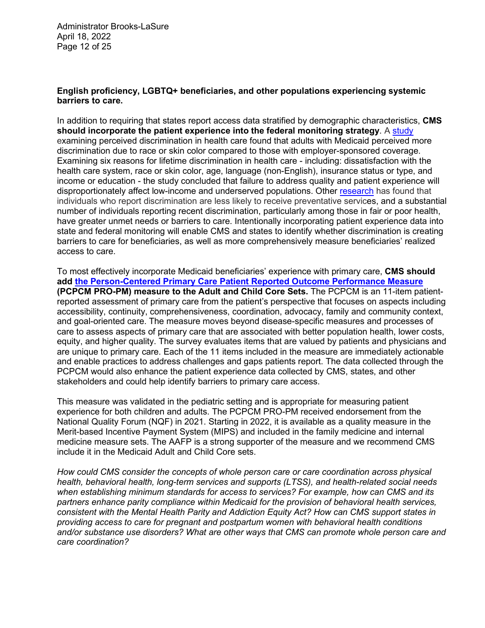## **English proficiency, LGBTQ+ beneficiaries, and other populations experiencing systemic barriers to care.**

In addition to requiring that states report access data stratified by demographic characteristics, **CMS**  should incorporate the patient experience into the federal monitoring strategy. A [study](https://www.jabfm.org/content/33/4/580/tab-article-info) examining perceived discrimination in health care found that adults with Medicaid perceived more discrimination due to race or skin color compared to those with employer-sponsored coverage. Examining six reasons for lifetime discrimination in health care - including: dissatisfaction with the health care system, race or skin color, age, language (non-English), insurance status or type, and income or education - the study concluded that failure to address quality and patient experience will disproportionately affect low-income and underserved populations. Other [research](https://www.ncbi.nlm.nih.gov/pmc/articles/PMC1924636/) has found that individuals who report discrimination are less likely to receive preventative services, and a substantial number of individuals reporting recent discrimination, particularly among those in fair or poor health, have greater unmet needs or barriers to care. Intentionally incorporating patient experience data into state and federal monitoring will enable CMS and states to identify whether discrimination is creating barriers to care for beneficiaries, as well as more comprehensively measure beneficiaries' realized access to care.

To most effectively incorporate Medicaid beneficiaries' experience with primary care, **CMS should add [the Person-Centered Primary Care Patient Reported Outcome Performance Measure](https://www.aafp.org/fpm/2022/0300/fpm20220300p17.pdf) (PCPCM PRO-PM) measure to the Adult and Child Core Sets.** The PCPCM is an 11-item patientreported assessment of primary care from the patient's perspective that focuses on aspects including accessibility, continuity, comprehensiveness, coordination, advocacy, family and community context, and goal-oriented care. The measure moves beyond disease-specific measures and processes of care to assess aspects of primary care that are associated with better population health, lower costs, equity, and higher quality. The survey evaluates items that are valued by patients and physicians and are unique to primary care. Each of the 11 items included in the measure are immediately actionable and enable practices to address challenges and gaps patients report. The data collected through the PCPCM would also enhance the patient experience data collected by CMS, states, and other stakeholders and could help identify barriers to primary care access.

This measure was validated in the pediatric setting and is appropriate for measuring patient experience for both children and adults. The PCPCM PRO-PM received endorsement from the National Quality Forum (NQF) in 2021. Starting in 2022, it is available as a quality measure in the Merit-based Incentive Payment System (MIPS) and included in the family medicine and internal medicine measure sets. The AAFP is a strong supporter of the measure and we recommend CMS include it in the Medicaid Adult and Child Core sets.

*How could CMS consider the concepts of whole person care or care coordination across physical health, behavioral health, long-term services and supports (LTSS), and health-related social needs when establishing minimum standards for access to services? For example, how can CMS and its partners enhance parity compliance within Medicaid for the provision of behavioral health services, consistent with the Mental Health Parity and Addiction Equity Act? How can CMS support states in providing access to care for pregnant and postpartum women with behavioral health conditions and/or substance use disorders? What are other ways that CMS can promote whole person care and care coordination?*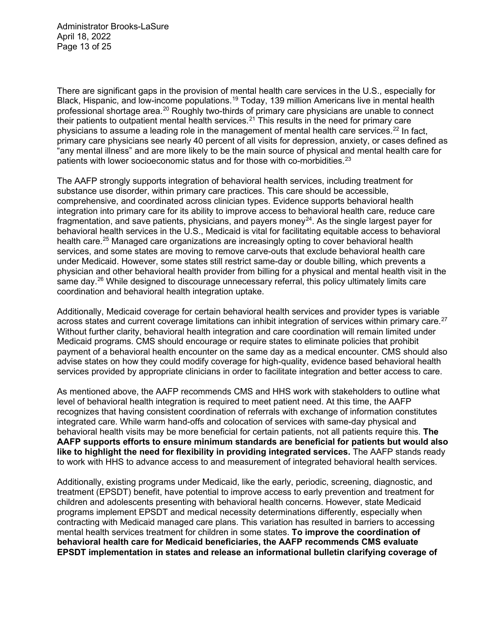Administrator Brooks-LaSure April 18, 2022 Page 13 of 25

There are significant gaps in the provision of mental health care services in the U.S., especially for Black, Hispanic, and low-income populations.[19](#page-23-18) Today, 139 million Americans live in mental health professional shortage area.<sup>[20](#page-23-19)</sup> Roughly two-thirds of primary care physicians are unable to connect their patients to outpatient mental health services.<sup>[21](#page-23-20)</sup> This results in the need for primary care physicians to assume a leading role in the management of mental health care services.<sup>[22](#page-23-21)</sup> In fact, primary care physicians see nearly 40 percent of all visits for depression, anxiety, or cases defined as "any mental illness" and are more likely to be the main source of physical and mental health care for patients with lower socioeconomic status and for those with co-morbidities.<sup>[23](#page-24-0)</sup>

The AAFP strongly supports integration of behavioral health services, including treatment for substance use disorder, within primary care practices. This care should be accessible, comprehensive, and coordinated across clinician types. Evidence supports behavioral health integration into primary care for its ability to improve access to behavioral health care, reduce care fragmentation, and save patients, physicians, and payers money<sup>24</sup>. As the single largest payer for behavioral health services in the U.S., Medicaid is vital for facilitating equitable access to behavioral health care.<sup>[25](#page-24-2)</sup> Managed care organizations are increasingly opting to cover behavioral health services, and some states are moving to remove carve-outs that exclude behavioral health care under Medicaid. However, some states still restrict same-day or double billing, which prevents a physician and other behavioral health provider from billing for a physical and mental health visit in the same day.<sup>[26](#page-24-3)</sup> While designed to discourage unnecessary referral, this policy ultimately limits care coordination and behavioral health integration uptake.

Additionally, Medicaid coverage for certain behavioral health services and provider types is variable across states and current coverage limitations can inhibit integration of services within primary care.<sup>[27](#page-24-4)</sup> Without further clarity, behavioral health integration and care coordination will remain limited under Medicaid programs. CMS should encourage or require states to eliminate policies that prohibit payment of a behavioral health encounter on the same day as a medical encounter. CMS should also advise states on how they could modify coverage for high-quality, evidence based behavioral health services provided by appropriate clinicians in order to facilitate integration and better access to care.

As mentioned above, the AAFP recommends CMS and HHS work with stakeholders to outline what level of behavioral health integration is required to meet patient need. At this time, the AAFP recognizes that having consistent coordination of referrals with exchange of information constitutes integrated care. While warm hand-offs and colocation of services with same-day physical and behavioral health visits may be more beneficial for certain patients, not all patients require this. **The AAFP supports efforts to ensure minimum standards are beneficial for patients but would also like to highlight the need for flexibility in providing integrated services.** The AAFP stands ready to work with HHS to advance access to and measurement of integrated behavioral health services.

Additionally, existing programs under Medicaid, like the early, periodic, screening, diagnostic, and treatment (EPSDT) benefit, have potential to improve access to early prevention and treatment for children and adolescents presenting with behavioral health concerns. However, state Medicaid programs implement EPSDT and medical necessity determinations differently, especially when contracting with Medicaid managed care plans. This variation has resulted in barriers to accessing mental health services treatment for children in some states. **To improve the coordination of behavioral health care for Medicaid beneficiaries, the AAFP recommends CMS evaluate EPSDT implementation in states and release an informational bulletin clarifying coverage of**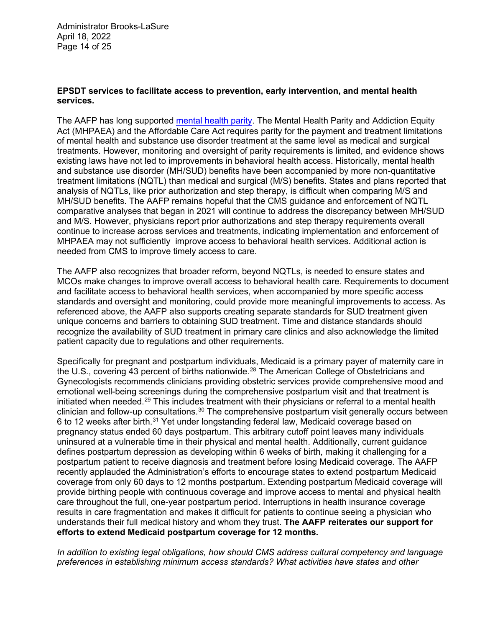Administrator Brooks-LaSure April 18, 2022 Page 14 of 25

### **EPSDT services to facilitate access to prevention, early intervention, and mental health services.**

The AAFP has long supported [mental health parity.](https://www.aafp.org/about/policies/all/mental-health-care-parity.html) The Mental Health Parity and Addiction Equity Act (MHPAEA) and the Affordable Care Act requires parity for the payment and treatment limitations of mental health and substance use disorder treatment at the same level as medical and surgical treatments. However, monitoring and oversight of parity requirements is limited, and evidence shows existing laws have not led to improvements in behavioral health access. Historically, mental health and substance use disorder (MH/SUD) benefits have been accompanied by more non-quantitative treatment limitations (NQTL) than medical and surgical (M/S) benefits. States and plans reported that analysis of NQTLs, like prior authorization and step therapy, is difficult when comparing M/S and MH/SUD benefits. The AAFP remains hopeful that the CMS guidance and enforcement of NQTL comparative analyses that began in 2021 will continue to address the discrepancy between MH/SUD and M/S. However, physicians report prior authorizations and step therapy requirements overall continue to increase across services and treatments, indicating implementation and enforcement of MHPAEA may not sufficiently improve access to behavioral health services. Additional action is needed from CMS to improve timely access to care.

The AAFP also recognizes that broader reform, beyond NQTLs, is needed to ensure states and MCOs make changes to improve overall access to behavioral health care. Requirements to document and facilitate access to behavioral health services, when accompanied by more specific access standards and oversight and monitoring, could provide more meaningful improvements to access. As referenced above, the AAFP also supports creating separate standards for SUD treatment given unique concerns and barriers to obtaining SUD treatment. Time and distance standards should recognize the availability of SUD treatment in primary care clinics and also acknowledge the limited patient capacity due to regulations and other requirements.

Specifically for pregnant and postpartum individuals, Medicaid is a primary payer of maternity care in the U.S., covering 43 percent of births nationwide.<sup>[28](#page-24-5)</sup> The American College of Obstetricians and Gynecologists recommends clinicians providing obstetric services provide comprehensive mood and emotional well-being screenings during the comprehensive postpartum visit and that treatment is initiated when needed.<sup>[29](#page-24-6)</sup> This includes treatment with their physicians or referral to a mental health clinician and follow-up consultations[.30](#page-24-7) The comprehensive postpartum visit generally occurs between 6 to 12 weeks after birth.[31](#page-24-8) Yet under longstanding federal law, Medicaid coverage based on pregnancy status ended 60 days postpartum. This arbitrary cutoff point leaves many individuals uninsured at a vulnerable time in their physical and mental health. Additionally, current guidance defines postpartum depression as developing within 6 weeks of birth, making it challenging for a postpartum patient to receive diagnosis and treatment before losing Medicaid coverage. The AAFP recently applauded the Administration's efforts to encourage states to extend postpartum Medicaid coverage from only 60 days to 12 months postpartum. Extending postpartum Medicaid coverage will provide birthing people with continuous coverage and improve access to mental and physical health care throughout the full, one-year postpartum period. Interruptions in health insurance coverage results in care fragmentation and makes it difficult for patients to continue seeing a physician who understands their full medical history and whom they trust. **The AAFP reiterates our support for efforts to extend Medicaid postpartum coverage for 12 months.**

*In addition to existing legal obligations, how should CMS address cultural competency and language preferences in establishing minimum access standards? What activities have states and other*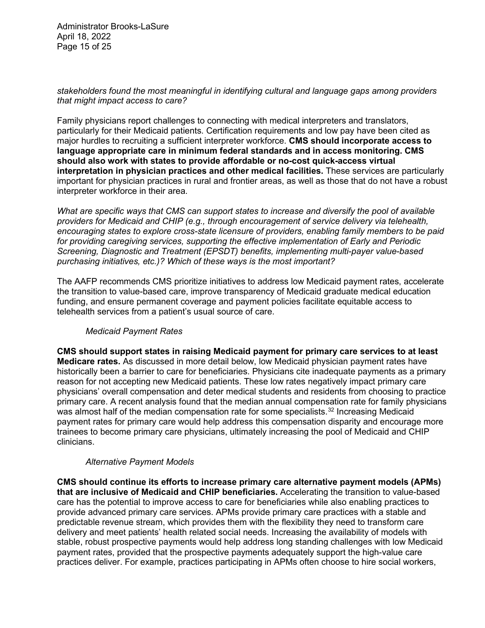Administrator Brooks-LaSure April 18, 2022 Page 15 of 25

## *stakeholders found the most meaningful in identifying cultural and language gaps among providers that might impact access to care?*

Family physicians report challenges to connecting with medical interpreters and translators, particularly for their Medicaid patients. Certification requirements and low pay have been cited as major hurdles to recruiting a sufficient interpreter workforce. **CMS should incorporate access to language appropriate care in minimum federal standards and in access monitoring. CMS should also work with states to provide affordable or no-cost quick-access virtual interpretation in physician practices and other medical facilities.** These services are particularly important for physician practices in rural and frontier areas, as well as those that do not have a robust interpreter workforce in their area.

*What are specific ways that CMS can support states to increase and diversify the pool of available providers for Medicaid and CHIP (e.g., through encouragement of service delivery via telehealth, encouraging states to explore cross-state licensure of providers, enabling family members to be paid for providing caregiving services, supporting the effective implementation of Early and Periodic Screening, Diagnostic and Treatment (EPSDT) benefits, implementing multi-payer value-based purchasing initiatives, etc.)? Which of these ways is the most important?*

The AAFP recommends CMS prioritize initiatives to address low Medicaid payment rates, accelerate the transition to value-based care, improve transparency of Medicaid graduate medical education funding, and ensure permanent coverage and payment policies facilitate equitable access to telehealth services from a patient's usual source of care.

## *Medicaid Payment Rates*

**CMS should support states in raising Medicaid payment for primary care services to at least Medicare rates.** As discussed in more detail below, low Medicaid physician payment rates have historically been a barrier to care for beneficiaries. Physicians cite inadequate payments as a primary reason for not accepting new Medicaid patients. These low rates negatively impact primary care physicians' overall compensation and deter medical students and residents from choosing to practice primary care. A recent analysis found that the median annual compensation rate for family physicians was almost half of the median compensation rate for some specialists.<sup>[32](#page-24-9)</sup> Increasing Medicaid payment rates for primary care would help address this compensation disparity and encourage more trainees to become primary care physicians, ultimately increasing the pool of Medicaid and CHIP clinicians.

## *Alternative Payment Models*

**CMS should continue its efforts to increase primary care alternative payment models (APMs) that are inclusive of Medicaid and CHIP beneficiaries.** Accelerating the transition to value-based care has the potential to improve access to care for beneficiaries while also enabling practices to provide advanced primary care services. APMs provide primary care practices with a stable and predictable revenue stream, which provides them with the flexibility they need to transform care delivery and meet patients' health related social needs. Increasing the availability of models with stable, robust prospective payments would help address long standing challenges with low Medicaid payment rates, provided that the prospective payments adequately support the high-value care practices deliver. For example, practices participating in APMs often choose to hire social workers,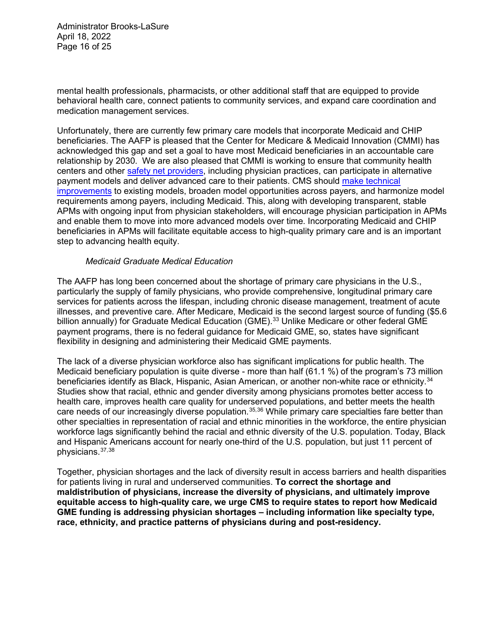Administrator Brooks-LaSure April 18, 2022 Page 16 of 25

mental health professionals, pharmacists, or other additional staff that are equipped to provide behavioral health care, connect patients to community services, and expand care coordination and medication management services.

Unfortunately, there are currently few primary care models that incorporate Medicaid and CHIP beneficiaries. The AAFP is pleased that the Center for Medicare & Medicaid Innovation (CMMI) has acknowledged this gap and set a goal to have most Medicaid beneficiaries in an accountable care relationship by 2030. We are also pleased that CMMI is working to ensure that community health centers and other [safety net providers,](https://www.aafp.org/dam/AAFP/documents/advocacy/payment/apms/LT-CMMI-SafetyNetAPMs-032822.pdf) including physician practices, can participate in alternative payment models and deliver advanced care to their patients. CMS should [make technical](https://www.aafp.org/dam/AAFP/documents/advocacy/payment/apms/LT-CMMI-HealthEquityRoundtable-120721.pdf)  [improvements](https://www.aafp.org/dam/AAFP/documents/advocacy/payment/apms/LT-CMMI-HealthEquityRoundtable-120721.pdf) to existing models, broaden model opportunities across payers, and harmonize model requirements among payers, including Medicaid. This, along with developing transparent, stable APMs with ongoing input from physician stakeholders, will encourage physician participation in APMs and enable them to move into more advanced models over time. Incorporating Medicaid and CHIP beneficiaries in APMs will facilitate equitable access to high-quality primary care and is an important step to advancing health equity.

### *Medicaid Graduate Medical Education*

The AAFP has long been concerned about the shortage of primary care physicians in the U.S., particularly the supply of family physicians, who provide comprehensive, longitudinal primary care services for patients across the lifespan, including chronic disease management, treatment of acute illnesses, and preventive care. After Medicare, Medicaid is the second largest source of funding (\$5.6 billion annually) for Graduate Medical Education (GME).<sup>[33](#page-24-10)</sup> Unlike Medicare or other federal GME payment programs, there is no federal guidance for Medicaid GME, so, states have significant flexibility in designing and administering their Medicaid GME payments.

The lack of a diverse physician workforce also has significant implications for public health. The Medicaid beneficiary population is quite diverse - more than half (61.1 %) of the program's 73 million beneficiaries identify as Black, Hispanic, Asian American, or another non-white race or ethnicity.<sup>[34](#page-24-11)</sup> Studies show that racial, ethnic and gender diversity among physicians promotes better access to health care, improves health care quality for underserved populations, and better meets the health care needs of our increasingly diverse population.<sup>[35](#page-24-12),[36](#page-24-13)</sup> While primary care specialties fare better than other specialties in representation of racial and ethnic minorities in the workforce, the entire physician workforce lags significantly behind the racial and ethnic diversity of the U.S. population. Today, Black and Hispanic Americans account for nearly one-third of the U.S. population, but just 11 percent of physicians.[37,](#page-24-14)[38](#page-24-15)

Together, physician shortages and the lack of diversity result in access barriers and health disparities for patients living in rural and underserved communities. **To correct the shortage and maldistribution of physicians, increase the diversity of physicians, and ultimately improve equitable access to high-quality care, we urge CMS to require states to report how Medicaid GME funding is addressing physician shortages – including information like specialty type, race, ethnicity, and practice patterns of physicians during and post-residency.**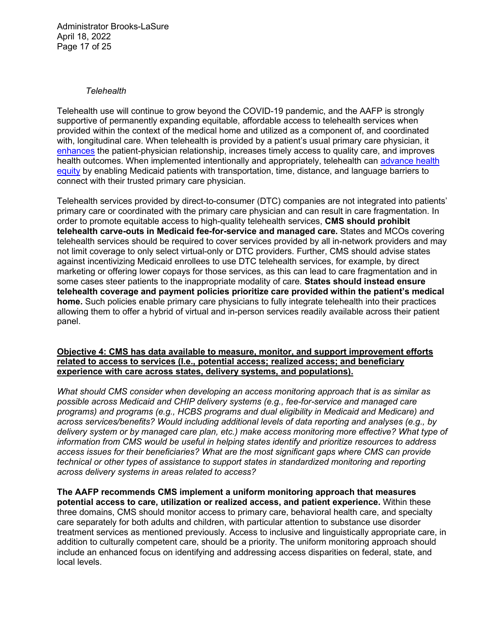Administrator Brooks-LaSure April 18, 2022 Page 17 of 25

### *Telehealth*

Telehealth use will continue to grow beyond the COVID-19 pandemic, and the AAFP is strongly supportive of permanently expanding equitable, affordable access to telehealth services when provided within the context of the medical home and utilized as a component of, and coordinated with, longitudinal care. When telehealth is provided by a patient's usual primary care physician, it [enhances](https://medialib.aafp.org/content/dam/AAFP/documents/advocacy/health_it/telehealth/TS-SenateFinanceCmte-DavisTelehealth-051921.pdf) the patient-physician relationship, increases timely access to quality care, and improves health outcomes. When implemented intentionally and appropriately, telehealth can [advance health](https://www.aafp.org/dam/AAFP/documents/advocacy/health_it/ehr/LT-WhiteHouse-CommunityHealthTechnology-032822.pdf)  [equity](https://www.aafp.org/dam/AAFP/documents/advocacy/health_it/ehr/LT-WhiteHouse-CommunityHealthTechnology-032822.pdf) by enabling Medicaid patients with transportation, time, distance, and language barriers to connect with their trusted primary care physician.

Telehealth services provided by direct-to-consumer (DTC) companies are not integrated into patients' primary care or coordinated with the primary care physician and can result in care fragmentation. In order to promote equitable access to high-quality telehealth services, **CMS should prohibit telehealth carve-outs in Medicaid fee-for-service and managed care.** States and MCOs covering telehealth services should be required to cover services provided by all in-network providers and may not limit coverage to only select virtual-only or DTC providers. Further, CMS should advise states against incentivizing Medicaid enrollees to use DTC telehealth services, for example, by direct marketing or offering lower copays for those services, as this can lead to care fragmentation and in some cases steer patients to the inappropriate modality of care. **States should instead ensure telehealth coverage and payment policies prioritize care provided within the patient's medical home.** Such policies enable primary care physicians to fully integrate telehealth into their practices allowing them to offer a hybrid of virtual and in-person services readily available across their patient panel.

#### **Objective 4: CMS has data available to measure, monitor, and support improvement efforts related to access to services (I.e., potential access; realized access; and beneficiary experience with care across states, delivery systems, and populations).**

*What should CMS consider when developing an access monitoring approach that is as similar as possible across Medicaid and CHIP delivery systems (e.g., fee-for-service and managed care programs) and programs (e.g., HCBS programs and dual eligibility in Medicaid and Medicare) and across services/benefits? Would including additional levels of data reporting and analyses (e.g., by delivery system or by managed care plan, etc.) make access monitoring more effective? What type of information from CMS would be useful in helping states identify and prioritize resources to address access issues for their beneficiaries? What are the most significant gaps where CMS can provide technical or other types of assistance to support states in standardized monitoring and reporting across delivery systems in areas related to access?*

**The AAFP recommends CMS implement a uniform monitoring approach that measures potential access to care, utilization or realized access, and patient experience.** Within these three domains, CMS should monitor access to primary care, behavioral health care, and specialty care separately for both adults and children, with particular attention to substance use disorder treatment services as mentioned previously. Access to inclusive and linguistically appropriate care, in addition to culturally competent care, should be a priority. The uniform monitoring approach should include an enhanced focus on identifying and addressing access disparities on federal, state, and local levels.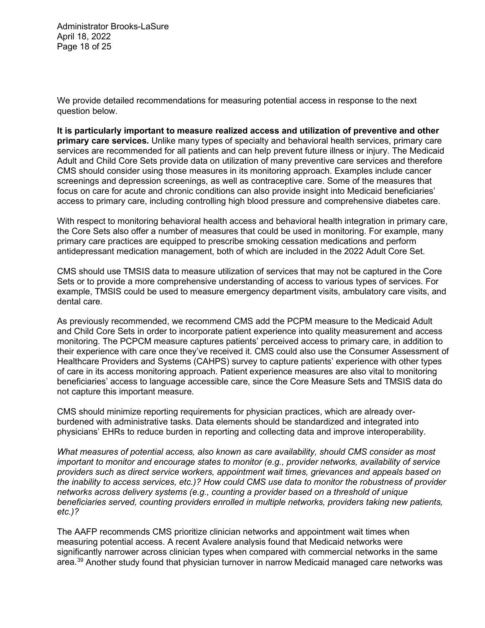Administrator Brooks-LaSure April 18, 2022 Page 18 of 25

We provide detailed recommendations for measuring potential access in response to the next question below.

**It is particularly important to measure realized access and utilization of preventive and other primary care services.** Unlike many types of specialty and behavioral health services, primary care services are recommended for all patients and can help prevent future illness or injury. The Medicaid Adult and Child Core Sets provide data on utilization of many preventive care services and therefore CMS should consider using those measures in its monitoring approach. Examples include cancer screenings and depression screenings, as well as contraceptive care. Some of the measures that focus on care for acute and chronic conditions can also provide insight into Medicaid beneficiaries' access to primary care, including controlling high blood pressure and comprehensive diabetes care.

With respect to monitoring behavioral health access and behavioral health integration in primary care, the Core Sets also offer a number of measures that could be used in monitoring. For example, many primary care practices are equipped to prescribe smoking cessation medications and perform antidepressant medication management, both of which are included in the 2022 Adult Core Set.

CMS should use TMSIS data to measure utilization of services that may not be captured in the Core Sets or to provide a more comprehensive understanding of access to various types of services. For example, TMSIS could be used to measure emergency department visits, ambulatory care visits, and dental care.

As previously recommended, we recommend CMS add the PCPM measure to the Medicaid Adult and Child Core Sets in order to incorporate patient experience into quality measurement and access monitoring. The PCPCM measure captures patients' perceived access to primary care, in addition to their experience with care once they've received it. CMS could also use the Consumer Assessment of Healthcare Providers and Systems (CAHPS) survey to capture patients' experience with other types of care in its access monitoring approach. Patient experience measures are also vital to monitoring beneficiaries' access to language accessible care, since the Core Measure Sets and TMSIS data do not capture this important measure.

CMS should minimize reporting requirements for physician practices, which are already overburdened with administrative tasks. Data elements should be standardized and integrated into physicians' EHRs to reduce burden in reporting and collecting data and improve interoperability.

*What measures of potential access, also known as care availability, should CMS consider as most important to monitor and encourage states to monitor (e.g., provider networks, availability of service providers such as direct service workers, appointment wait times, grievances and appeals based on the inability to access services, etc.)? How could CMS use data to monitor the robustness of provider networks across delivery systems (e.g., counting a provider based on a threshold of unique beneficiaries served, counting providers enrolled in multiple networks, providers taking new patients, etc.)?*

The AAFP recommends CMS prioritize clinician networks and appointment wait times when measuring potential access. A recent Avalere analysis found that Medicaid networks were significantly narrower across clinician types when compared with commercial networks in the same area.[39](#page-24-16) Another study found that physician turnover in narrow Medicaid managed care networks was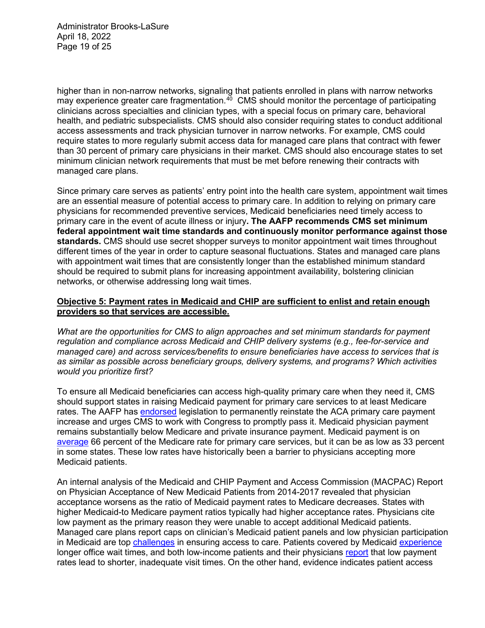Administrator Brooks-LaSure April 18, 2022 Page 19 of 25

higher than in non-narrow networks, signaling that patients enrolled in plans with narrow networks may experience greater care fragmentation. $40^\circ$  CMS should monitor the percentage of participating clinicians across specialties and clinician types, with a special focus on primary care, behavioral health, and pediatric subspecialists. CMS should also consider requiring states to conduct additional access assessments and track physician turnover in narrow networks. For example, CMS could require states to more regularly submit access data for managed care plans that contract with fewer than 30 percent of primary care physicians in their market. CMS should also encourage states to set minimum clinician network requirements that must be met before renewing their contracts with managed care plans.

Since primary care serves as patients' entry point into the health care system, appointment wait times are an essential measure of potential access to primary care. In addition to relying on primary care physicians for recommended preventive services, Medicaid beneficiaries need timely access to primary care in the event of acute illness or injury**. The AAFP recommends CMS set minimum federal appointment wait time standards and continuously monitor performance against those standards.** CMS should use secret shopper surveys to monitor appointment wait times throughout different times of the year in order to capture seasonal fluctuations. States and managed care plans with appointment wait times that are consistently longer than the established minimum standard should be required to submit plans for increasing appointment availability, bolstering clinician networks, or otherwise addressing long wait times.

## **Objective 5: Payment rates in Medicaid and CHIP are sufficient to enlist and retain enough providers so that services are accessible.**

*What are the opportunities for CMS to align approaches and set minimum standards for payment regulation and compliance across Medicaid and CHIP delivery systems (e.g., fee-for-service and managed care) and across services/benefits to ensure beneficiaries have access to services that is as similar as possible across beneficiary groups, delivery systems, and programs? Which activities would you prioritize first?*

To ensure all Medicaid beneficiaries can access high-quality primary care when they need it, CMS should support states in raising Medicaid payment for primary care services to at least Medicare rates. The AAFP has [endorsed](https://www.aafp.org/dam/AAFP/documents/advocacy/coverage/medicaid/LT-House-KidsAccessPrimaryCareAct-031621.pdf) legislation to permanently reinstate the ACA primary care payment increase and urges CMS to work with Congress to promptly pass it. Medicaid physician payment remains substantially below Medicare and private insurance payment. Medicaid payment is on [average](https://www.healthaffairs.org/doi/abs/10.1377/hlthaff.2020.00611) 66 percent of the Medicare rate for primary care services, but it can be as low as 33 percent in some states. These low rates have historically been a barrier to physicians accepting more Medicaid patients.

An internal analysis of the Medicaid and CHIP Payment and Access Commission (MACPAC) Report on Physician Acceptance of New Medicaid Patients from 2014-2017 revealed that physician acceptance worsens as the ratio of Medicaid payment rates to Medicare decreases. States with higher Medicaid-to Medicare payment ratios typically had higher acceptance rates. Physicians cite low payment as the primary reason they were unable to accept additional Medicaid patients. Managed care plans report caps on clinician's Medicaid patient panels and low physician participation in Medicaid are top [challenges](https://files.kff.org/attachment/Report-Medicaid-Managed-Care-March-Plans-and-Access-to-Care) in ensuring access to care. Patients covered by Medicaid [experience](https://www.ncbi.nlm.nih.gov/pmc/articles/PMC5812017/) longer office wait times, and both low-income patients and their physicians [report](https://www.commonwealthfund.org/blog/2019/listening-low-income-patients-and-their-physicians--improving-access-and-quality) that low payment rates lead to shorter, inadequate visit times. On the other hand, evidence indicates patient access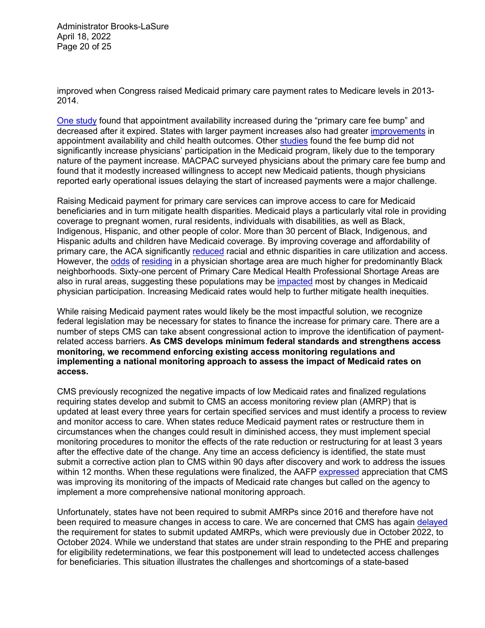Administrator Brooks-LaSure April 18, 2022 Page 20 of 25

improved when Congress raised Medicaid primary care payment rates to Medicare levels in 2013- 2014.

[One study](https://jamanetwork.com/journals/jamainternalmedicine/fullarticle/2663253) found that appointment availability increased during the "primary care fee bump" and decreased after it expired. States with larger payment increases also had greater *improvements* in appointment availability and child health outcomes. Other [studies](https://www.healthaffairs.org/doi/full/10.1377/hlthaff.2018.0078) found the fee bump did not significantly increase physicians' participation in the Medicaid program, likely due to the temporary nature of the payment increase. MACPAC surveyed physicians about the primary care fee bump and found that it modestly increased willingness to accept new Medicaid patients, though physicians reported early operational issues delaying the start of increased payments were a major challenge.

Raising Medicaid payment for primary care services can improve access to care for Medicaid beneficiaries and in turn mitigate health disparities. Medicaid plays a particularly vital role in providing coverage to pregnant women, rural residents, individuals with disabilities, as well as Black, Indigenous, Hispanic, and other people of color. More than 30 percent of Black, Indigenous, and Hispanic adults and children have Medicaid coverage. By improving coverage and affordability of primary care, the ACA significantly [reduced](https://ccf.georgetown.edu/2017/04/26/medicaid-and-chip-help-address-racialethnic-disparities-in-childrens-health/) racial and ethnic disparities in care utilization and access. However, the [odds](https://www.ncbi.nlm.nih.gov/pmc/articles/PMC3416972/) of [residing](https://www.healthaffairs.org/doi/10.1377/hlthaff.2015.1612) in a physician shortage area are much higher for predominantly Black neighborhoods. Sixty-one percent of Primary Care Medical Health Professional Shortage Areas are also in rural areas, suggesting these populations may be [impacted](https://www.medicaid.gov/federal-policy-guidance/downloads/cib06282021.pdf) most by changes in Medicaid physician participation. Increasing Medicaid rates would help to further mitigate health inequities.

While raising Medicaid payment rates would likely be the most impactful solution, we recognize federal legislation may be necessary for states to finance the increase for primary care. There are a number of steps CMS can take absent congressional action to improve the identification of paymentrelated access barriers. **As CMS develops minimum federal standards and strengthens access monitoring, we recommend enforcing existing access monitoring regulations and implementing a national monitoring approach to assess the impact of Medicaid rates on access.**

CMS previously recognized the negative impacts of low Medicaid rates and finalized regulations requiring states develop and submit to CMS an access monitoring review plan (AMRP) that is updated at least every three years for certain specified services and must identify a process to review and monitor access to care. When states reduce Medicaid payment rates or restructure them in circumstances when the changes could result in diminished access, they must implement special monitoring procedures to monitor the effects of the rate reduction or restructuring for at least 3 years after the effective date of the change. Any time an access deficiency is identified, the state must submit a corrective action plan to CMS within 90 days after discovery and work to address the issues within 12 months. When these regulations were finalized, the AAFP [expressed](https://www.aafp.org/dam/AAFP/documents/advocacy/coverage/medicaid/LT-HHS-Medicaid-Access-12242015.pdf) appreciation that CMS was improving its monitoring of the impacts of Medicaid rate changes but called on the agency to implement a more comprehensive national monitoring approach.

Unfortunately, states have not been required to submit AMRPs since 2016 and therefore have not been required to measure changes in access to care. We are concerned that CMS has again [delayed](https://www.medicaid.gov/federal-policy-guidance/downloads/cib03312022.pdf) the requirement for states to submit updated AMRPs, which were previously due in October 2022, to October 2024. While we understand that states are under strain responding to the PHE and preparing for eligibility redeterminations, we fear this postponement will lead to undetected access challenges for beneficiaries. This situation illustrates the challenges and shortcomings of a state-based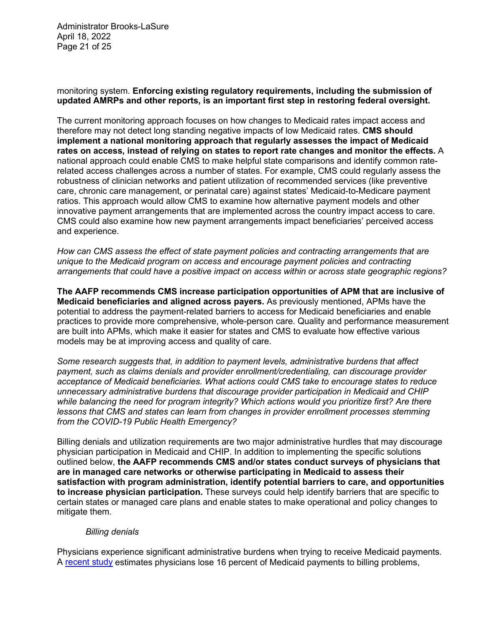Administrator Brooks-LaSure April 18, 2022 Page 21 of 25

## monitoring system. **Enforcing existing regulatory requirements, including the submission of updated AMRPs and other reports, is an important first step in restoring federal oversight.**

The current monitoring approach focuses on how changes to Medicaid rates impact access and therefore may not detect long standing negative impacts of low Medicaid rates. **CMS should implement a national monitoring approach that regularly assesses the impact of Medicaid rates on access, instead of relying on states to report rate changes and monitor the effects.** A national approach could enable CMS to make helpful state comparisons and identify common raterelated access challenges across a number of states. For example, CMS could regularly assess the robustness of clinician networks and patient utilization of recommended services (like preventive care, chronic care management, or perinatal care) against states' Medicaid-to-Medicare payment ratios. This approach would allow CMS to examine how alternative payment models and other innovative payment arrangements that are implemented across the country impact access to care. CMS could also examine how new payment arrangements impact beneficiaries' perceived access and experience.

*How can CMS assess the effect of state payment policies and contracting arrangements that are unique to the Medicaid program on access and encourage payment policies and contracting arrangements that could have a positive impact on access within or across state geographic regions?*

**The AAFP recommends CMS increase participation opportunities of APM that are inclusive of Medicaid beneficiaries and aligned across payers.** As previously mentioned, APMs have the potential to address the payment-related barriers to access for Medicaid beneficiaries and enable practices to provide more comprehensive, whole-person care. Quality and performance measurement are built into APMs, which make it easier for states and CMS to evaluate how effective various models may be at improving access and quality of care.

*Some research suggests that, in addition to payment levels, administrative burdens that affect payment, such as claims denials and provider enrollment/credentialing, can discourage provider acceptance of Medicaid beneficiaries. What actions could CMS take to encourage states to reduce unnecessary administrative burdens that discourage provider participation in Medicaid and CHIP while balancing the need for program integrity? Which actions would you prioritize first? Are there lessons that CMS and states can learn from changes in provider enrollment processes stemming from the COVID-19 Public Health Emergency?*

Billing denials and utilization requirements are two major administrative hurdles that may discourage physician participation in Medicaid and CHIP. In addition to implementing the specific solutions outlined below, **the AAFP recommends CMS and/or states conduct surveys of physicians that are in managed care networks or otherwise participating in Medicaid to assess their satisfaction with program administration, identify potential barriers to care, and opportunities to increase physician participation.** These surveys could help identify barriers that are specific to certain states or managed care plans and enable states to make operational and policy changes to mitigate them.

## *Billing denials*

Physicians experience significant administrative burdens when trying to receive Medicaid payments. A [recent study](https://users.nber.org/%7Ejdgottl/BillingCostsPaper.pdf) estimates physicians lose 16 percent of Medicaid payments to billing problems,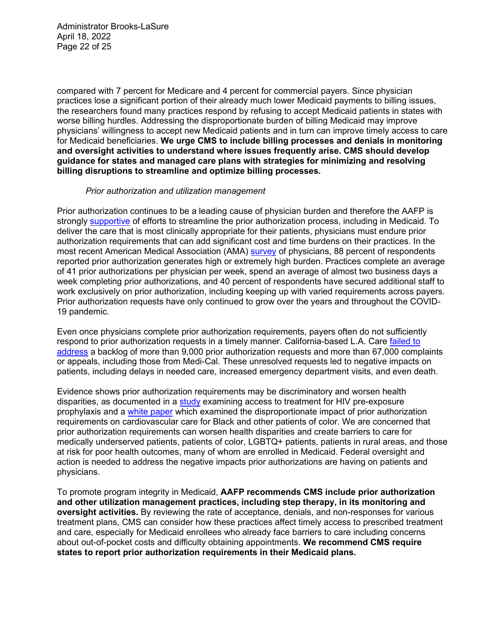Administrator Brooks-LaSure April 18, 2022 Page 22 of 25

compared with 7 percent for Medicare and 4 percent for commercial payers. Since physician practices lose a significant portion of their already much lower Medicaid payments to billing issues, the researchers found many practices respond by refusing to accept Medicaid patients in states with worse billing hurdles. Addressing the disproportionate burden of billing Medicaid may improve physicians' willingness to accept new Medicaid patients and in turn can improve timely access to care for Medicaid beneficiaries. **We urge CMS to include billing processes and denials in monitoring and oversight activities to understand where issues frequently arise. CMS should develop guidance for states and managed care plans with strategies for minimizing and resolving billing disruptions to streamline and optimize billing processes.**

#### *Prior authorization and utilization management*

Prior authorization continues to be a leading cause of physician burden and therefore the AAFP is strongly [supportive](https://www.aafp.org/dam/AAFP/documents/advocacy/legal/administrative/LT-HHS-PriorAuthProposedRule-122320.pdf) of efforts to streamline the prior authorization process, including in Medicaid. To deliver the care that is most clinically appropriate for their patients, physicians must endure prior authorization requirements that can add significant cost and time burdens on their practices. In the most recent American Medical Association (AMA) [survey](https://www.ama-assn.org/system/files/prior-authorization-survey.pdf) of physicians, 88 percent of respondents reported prior authorization generates high or extremely high burden. Practices complete an average of 41 prior authorizations per physician per week, spend an average of almost two business days a week completing prior authorizations, and 40 percent of respondents have secured additional staff to work exclusively on prior authorization, including keeping up with varied requirements across payers. Prior authorization requests have only continued to grow over the years and throughout the COVID-19 pandemic.

Even once physicians complete prior authorization requirements, payers often do not sufficiently respond to prior authorization requests in a timely manner. California-based L.A. Care failed to [address](https://www.healthcaredive.com/news/la-care-55m-fine-members-barriers-timely-care/619925/#:%7E:text=L.A.%20Care%2C%20the%20nation%27s%20largest,Managed%20Health%20Care%20announced%20Friday.) a backlog of more than 9,000 prior authorization requests and more than 67,000 complaints or appeals, including those from Medi-Cal. These unresolved requests led to negative impacts on patients, including delays in needed care, increased emergency department visits, and even death.

Evidence shows prior authorization requirements may be discriminatory and worsen health disparities, as documented in a [study](https://jamanetwork.com/journals/jamanetworkopen/fullarticle/2766669) examining access to treatment for HIV pre-exposure prophylaxis and a [white paper](http://abcardio.org/wp-content/uploads/2019/03/AB-20190227-PA-White-Paper-Survey-Results-final.pdf) which examined the disproportionate impact of prior authorization requirements on cardiovascular care for Black and other patients of color. We are concerned that prior authorization requirements can worsen health disparities and create barriers to care for medically underserved patients, patients of color, LGBTQ+ patients, patients in rural areas, and those at risk for poor health outcomes, many of whom are enrolled in Medicaid. Federal oversight and action is needed to address the negative impacts prior authorizations are having on patients and physicians.

To promote program integrity in Medicaid, **AAFP recommends CMS include prior authorization and other utilization management practices, including step therapy, in its monitoring and oversight activities.** By reviewing the rate of acceptance, denials, and non-responses for various treatment plans, CMS can consider how these practices affect timely access to prescribed treatment and care, especially for Medicaid enrollees who already face barriers to care including concerns about out-of-pocket costs and difficulty obtaining appointments. **We recommend CMS require states to report prior authorization requirements in their Medicaid plans.**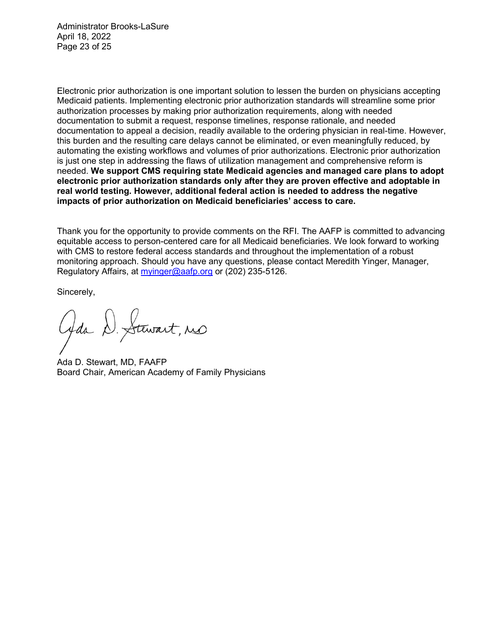Administrator Brooks-LaSure April 18, 2022 Page 23 of 25

Electronic prior authorization is one important solution to lessen the burden on physicians accepting Medicaid patients. Implementing electronic prior authorization standards will streamline some prior authorization processes by making prior authorization requirements, along with needed documentation to submit a request, response timelines, response rationale, and needed documentation to appeal a decision, readily available to the ordering physician in real-time. However, this burden and the resulting care delays cannot be eliminated, or even meaningfully reduced, by automating the existing workflows and volumes of prior authorizations. Electronic prior authorization is just one step in addressing the flaws of utilization management and comprehensive reform is needed. **We support CMS requiring state Medicaid agencies and managed care plans to adopt electronic prior authorization standards only after they are proven effective and adoptable in real world testing. However, additional federal action is needed to address the negative impacts of prior authorization on Medicaid beneficiaries' access to care.**

Thank you for the opportunity to provide comments on the RFI. The AAFP is committed to advancing equitable access to person-centered care for all Medicaid beneficiaries. We look forward to working with CMS to restore federal access standards and throughout the implementation of a robust monitoring approach. Should you have any questions, please contact Meredith Yinger, Manager, Regulatory Affairs, at [myinger@aafp.org](mailto:myinger@aafp.org) or (202) 235-5126.

Sincerely,

Gda D. Stewart, no

Ada D. Stewart, MD, FAAFP Board Chair, American Academy of Family Physicians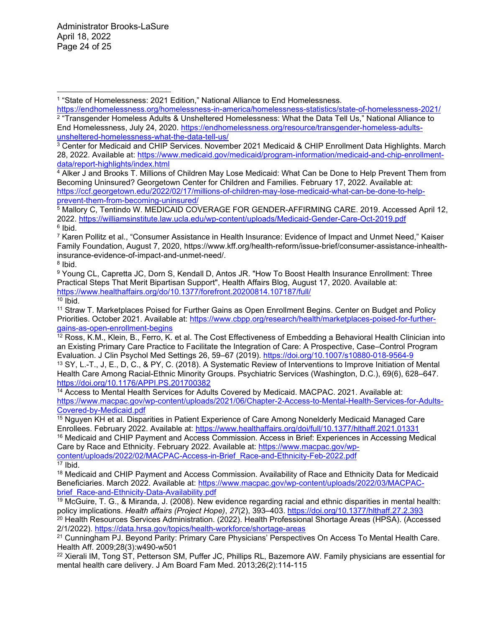Administrator Brooks-LaSure April 18, 2022 Page 24 of 25

<span id="page-23-1"></span><span id="page-23-0"></span><sup>1</sup> "State of Homelessness: 2021 Edition," National Alliance to End Homelessness.<br>https://endhomelessness.org/homelessness-in-america/homelessness-statistics/state-of-homelessness-2021/ <sup>2</sup> "Transgender Homeless Adults & Unsheltered Homelessness: What the Data Tell Us," National Alliance to End Homelessness, July 24, 2020. https://endhomelessness.org/resource/transgender-homeless-adults-<br>unsheltered-homelessness-what-the-data-tell-us/

<span id="page-23-2"></span><sup>3</sup> Center for Medicaid and CHIP Services. November 2021 Medicaid & CHIP Enrollment Data Highlights. March 28, 2022. Available at: [https://www.medicaid.gov/medicaid/program-information/medicaid-and-chip-enrollment-](https://www.medicaid.gov/medicaid/program-information/medicaid-and-chip-enrollment-data/report-highlights/index.html)

<span id="page-23-3"></span>data/report-highlights/index.html<br><sup>4</sup> Alker J and Brooks T. Millions of Children May Lose Medicaid: What Can be Done to Help Prevent Them from Becoming Uninsured? Georgetown Center for Children and Families. February 17, 2022. Available at: https://ccf.georgetown.edu/2022/02/17/millions-of-children-may-lose-medicaid-what-can-be-done-to-help-<br>prevent-them-from-becoming-uninsured/

<span id="page-23-4"></span> $5$  Mallory C, Tentindo W. MEDICAID COVERAGE FOR GENDER-AFFIRMING CARE. 2019. Accessed April 12, 2022.<https://williamsinstitute.law.ucla.edu/wp-content/uploads/Medicaid-Gender-Care-Oct-2019.pdf>6 Ibid.

<span id="page-23-6"></span><span id="page-23-5"></span><sup>7</sup> Karen Pollitz et al., "Consumer Assistance in Health Insurance: Evidence of Impact and Unmet Need," Kaiser Family Foundation, August 7, 2020, https://www.kff.org/health-reform/issue-brief/consumer-assistance-inhealthinsurance-evidence-of-impact-and-unmet-need/.  $8$  Ibid.

<span id="page-23-8"></span><span id="page-23-7"></span><sup>9</sup> Young CL, Capretta JC, Dorn S, Kendall D, Antos JR. "How To Boost Health Insurance Enrollment: Three Practical Steps That Merit Bipartisan Support", Health Affairs Blog, August 17, 2020. Available at: <https://www.healthaffairs.org/do/10.1377/forefront.20200814.107187/full/>

<span id="page-23-9"></span> $10$  lbid.

<span id="page-23-10"></span><sup>11</sup> Straw T. Marketplaces Poised for Further Gains as Open Enrollment Begins. Center on Budget and Policy Priorities. October 2021. Available at: [https://www.cbpp.org/research/health/marketplaces-poised-for-further](https://www.cbpp.org/research/health/marketplaces-poised-for-further-gains-as-open-enrollment-begins)[gains-as-open-enrollment-begins](https://www.cbpp.org/research/health/marketplaces-poised-for-further-gains-as-open-enrollment-begins)

<span id="page-23-11"></span> $12$  Ross, K.M., Klein, B., Ferro, K. et al. The Cost Effectiveness of Embedding a Behavioral Health Clinician into an Existing Primary Care Practice to Facilitate the Integration of Care: A Prospective, Case–Control Program Evaluation. J Clin Psychol Med Settings 26, 59–67 (2019). https://doi.org/10.1007/s10880-018-9564-9

<span id="page-23-12"></span><sup>13</sup> SY, L.-T., J, E., D, C., & PY, C. (2018). A Systematic Review of Interventions to Improve Initiation of Mental Health Care Among Racial-Ethnic Minority Groups. Psychiatric Services (Washington, D.C.), 69(6), 628–647.

<span id="page-23-13"></span>https://doi.org/10.1176/APPI.PS.201700382<br><sup>14</sup> Access to Mental Health Services for Adults Covered by Medicaid. MACPAC. 2021. Available at: [https://www.macpac.gov/wp-content/uploads/2021/06/Chapter-2-Access-to-Mental-Health-Services-for-Adults-](https://www.macpac.gov/wp-content/uploads/2021/06/Chapter-2-Access-to-Mental-Health-Services-for-Adults-Covered-by-Medicaid.pdf)

<span id="page-23-14"></span><sup>15</sup> Nguyen KH et al. Disparities in Patient Experience of Care Among Nonelderly Medicaid Managed Care Enrollees. February 2022. Available at:<https://www.healthaffairs.org/doi/full/10.1377/hlthaff.2021.01331>

<span id="page-23-15"></span><sup>16</sup> Medicaid and CHIP Payment and Access Commission. Access in Brief: Experiences in Accessing Medical Care by Race and Ethnicity. February 2022. Available at: [https://www.macpac.gov/wp](https://www.macpac.gov/wp-content/uploads/2022/02/MACPAC-Access-in-Brief_Race-and-Ethnicity-Feb-2022.pdf)[content/uploads/2022/02/MACPAC-Access-in-Brief\\_Race-and-Ethnicity-Feb-2022.pdf](https://www.macpac.gov/wp-content/uploads/2022/02/MACPAC-Access-in-Brief_Race-and-Ethnicity-Feb-2022.pdf) 17 Ibid.

<span id="page-23-16"></span>

<span id="page-23-17"></span><sup>18</sup> Medicaid and CHIP Payment and Access Commission. Availability of Race and Ethnicity Data for Medicaid Beneficiaries. March 2022. Available at: https://www.macpac.gov/wp-content/uploads/2022/03/MACPAC-<br>brief Race-and-Ethnicity-Data-Availability.pdf

<span id="page-23-18"></span><sup>19</sup> McGuire, T. G., & Miranda, J. (2008). New evidence regarding racial and ethnic disparities in mental health:<br>policy implications. Health affairs (Project Hope), 27(2), 393–403. https://doi.org/10.1377/hlthaff.27.2.393

<span id="page-23-19"></span><sup>20</sup> Health Resources Services Administration. (2022). Health Professional Shortage Areas (HPSA). (Accessed<br>2/1/2022). https://data.hrsa.gov/topics/health-workforce/shortage-areas

<span id="page-23-20"></span><sup>21</sup> Cunningham PJ. Beyond Parity: Primary Care Physicians' Perspectives On Access To Mental Health Care. Health Aff. 2009;28(3):w490-w501

<span id="page-23-21"></span><sup>22</sup> Xierali IM, Tong ST, Petterson SM, Puffer JC, Phillips RL, Bazemore AW. Family physicians are essential for mental health care delivery. J Am Board Fam Med. 2013;26(2):114-115